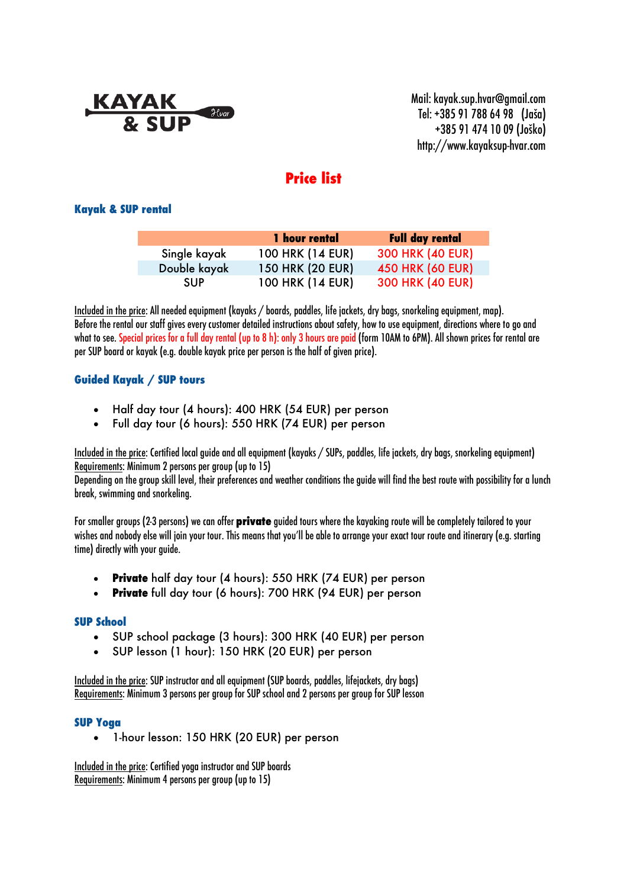# $\mathcal{H}_{var}$

Mail: kayak.sup.hvar@gmail.com Tel: +385 91 788 64 98 (Jaša) +385 91 474 10 09 (Joško) http://www.kayaksup-hvar.com

# **Price list**

# **Kayak & SUP rental**

|              | 1 hour rental    | <b>Full day rental</b>  |
|--------------|------------------|-------------------------|
| Single kayak | 100 HRK (14 EUR) | <b>300 HRK (40 EUR)</b> |
| Double kayak | 150 HRK (20 EUR) | 450 HRK (60 EUR)        |
| <b>SUP</b>   | 100 HRK (14 EUR) | 300 HRK (40 EUR)        |

Included in the price: All needed equipment (kayaks / boards, paddles, life jackets, dry bags, snorkeling equipment, map). Before the rental our staff gives every customer detailed instructions about safety, how to use equipment, directions where to go and what to see. Special prices for a full day rental (up to 8 h): only 3 hours are paid(form 10AM to 6PM). All shown prices for rental are per SUP board or kayak (e.g. double kayak price per person is the half of given price).

# **Guided Kayak / SUP tours**

- Half day tour (4 hours): 400 HRK (54 EUR) per person
- Full day tour (6 hours): 550 HRK (74 EUR) per person

Includedin the price: Certified local guide and all equipment (kayaks / SUPs, paddles, life jackets, dry bags, snorkeling equipment) Requirements: Minimum 2 persons per group(up to 15)

Depending on the group skill level, their preferences and weather conditions the guide will find the best route with possibility for a lunch break, swimming and snorkeling.

For smaller groups (2-3 persons) we can offer **private** guided tours where the kayaking route will be completely tailored to your wishes and nobody else will join your tour. This means that you'll be able to arrange your exact tour route and itinerary (e.g. starting time) directly with your guide.

- **Private** half day tour (4 hours): 550 HRK (74 EUR) per person
- **Private** full day tour (6 hours): 700 HRK (94 EUR) per person

# **SUP School**

- SUP school package (3 hours): 300 HRK (40 EUR) per person
- SUP lesson (1 hour): 150 HRK (20 EUR) per person

Included in the price: SUP instructor and all equipment (SUP boards, paddles, lifejackets, dry bags) Requirements: Minimum 3 persons per group for SUP school and 2 persons per group for SUP lesson

#### **SUP Yoga**

• 1-hour lesson: 150 HRK (20 EUR) per person

Included in the price: Certified yoga instructor and SUP boards Requirements: Minimum 4 persons per group(up to 15)